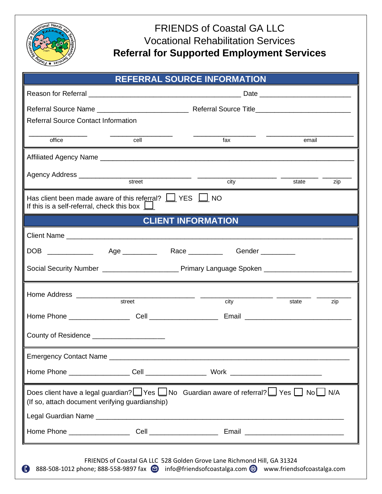

## FRIENDS of Coastal GA LLC Vocational Rehabilitation Services **Referral for Supported Employment Services**

| <b>REFERRAL SOURCE INFORMATION</b>                                                                                                                                             |                      |                                                                                                                      |              |  |  |  |  |  |
|--------------------------------------------------------------------------------------------------------------------------------------------------------------------------------|----------------------|----------------------------------------------------------------------------------------------------------------------|--------------|--|--|--|--|--|
|                                                                                                                                                                                |                      |                                                                                                                      |              |  |  |  |  |  |
|                                                                                                                                                                                |                      |                                                                                                                      |              |  |  |  |  |  |
| <b>Referral Source Contact Information</b>                                                                                                                                     |                      |                                                                                                                      |              |  |  |  |  |  |
| office                                                                                                                                                                         | cell<br>email<br>fax |                                                                                                                      |              |  |  |  |  |  |
|                                                                                                                                                                                |                      |                                                                                                                      |              |  |  |  |  |  |
|                                                                                                                                                                                | street               | city                                                                                                                 | state<br>zip |  |  |  |  |  |
| Has client been made aware of this referral? $\Box$ YES $\Box$ NO<br>If this is a self-referral, check this box $\Box$                                                         |                      |                                                                                                                      |              |  |  |  |  |  |
| <b>CLIENT INFORMATION</b>                                                                                                                                                      |                      |                                                                                                                      |              |  |  |  |  |  |
|                                                                                                                                                                                |                      |                                                                                                                      |              |  |  |  |  |  |
|                                                                                                                                                                                |                      | DOB ______________  Age ___________  Race ___________  Gender __________                                             |              |  |  |  |  |  |
|                                                                                                                                                                                |                      |                                                                                                                      |              |  |  |  |  |  |
|                                                                                                                                                                                | street               | city                                                                                                                 | zip<br>state |  |  |  |  |  |
|                                                                                                                                                                                |                      |                                                                                                                      |              |  |  |  |  |  |
| County of Residence __________________                                                                                                                                         |                      |                                                                                                                      |              |  |  |  |  |  |
| <b>Emergency Contact Name</b>                                                                                                                                                  |                      | <u> 2000 - 2000 - 2000 - 2000 - 2000 - 2000 - 2000 - 2000 - 2000 - 2000 - 2000 - 2000 - 2000 - 2000 - 2000 - 200</u> |              |  |  |  |  |  |
|                                                                                                                                                                                |                      |                                                                                                                      |              |  |  |  |  |  |
| Does client have a legal guardian? If Yes I No Guardian aware of referral? I Yes I No I N/A<br>(If so, attach document verifying guardianship)                                 |                      |                                                                                                                      |              |  |  |  |  |  |
|                                                                                                                                                                                |                      |                                                                                                                      |              |  |  |  |  |  |
| FRIENDS of Coastal GA LLC 528 Golden Grove Lane Richmond Hill, GA 31324<br>888-508-1012 phone; 888-558-9897 fax (D) info@friendsofcoastalga.com (D) www.friendsofcoastalga.com |                      |                                                                                                                      |              |  |  |  |  |  |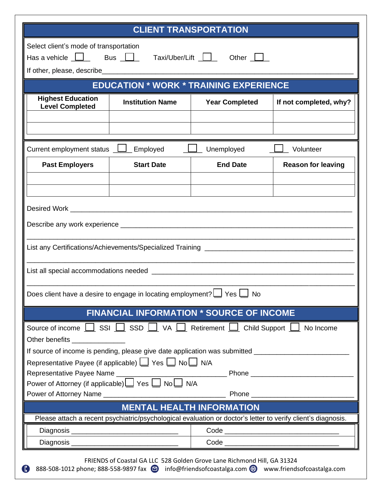|                                                                                                                                                                                                                                      | <b>CLIENT TRANSPORTATION</b> |                                                 |                           |  |  |  |  |  |  |
|--------------------------------------------------------------------------------------------------------------------------------------------------------------------------------------------------------------------------------------|------------------------------|-------------------------------------------------|---------------------------|--|--|--|--|--|--|
| Select client's mode of transportation<br>Has a vehicle <u>D</u> Bus D Taxi/Uber/Lift <b>LI</b> Other LI                                                                                                                             |                              |                                                 |                           |  |  |  |  |  |  |
| <b>EDUCATION * WORK * TRAINING EXPERIENCE</b>                                                                                                                                                                                        |                              |                                                 |                           |  |  |  |  |  |  |
| <b>Highest Education</b><br><b>Level Completed</b>                                                                                                                                                                                   | <b>Institution Name</b>      | <b>Year Completed</b>                           | If not completed, why?    |  |  |  |  |  |  |
|                                                                                                                                                                                                                                      |                              |                                                 |                           |  |  |  |  |  |  |
| Current employment status $\boxed{\underline{\qquad}}$ Employed                                                                                                                                                                      |                              | Unemployed                                      | Volunteer                 |  |  |  |  |  |  |
| <b>Past Employers</b>                                                                                                                                                                                                                | <b>Start Date</b>            | <b>End Date</b>                                 | <b>Reason for leaving</b> |  |  |  |  |  |  |
|                                                                                                                                                                                                                                      |                              |                                                 |                           |  |  |  |  |  |  |
|                                                                                                                                                                                                                                      |                              |                                                 |                           |  |  |  |  |  |  |
|                                                                                                                                                                                                                                      |                              |                                                 |                           |  |  |  |  |  |  |
|                                                                                                                                                                                                                                      |                              |                                                 |                           |  |  |  |  |  |  |
|                                                                                                                                                                                                                                      |                              |                                                 |                           |  |  |  |  |  |  |
| Does client have a desire to engage in locating employment?                                                                                                                                                                          |                              | Yes L<br><b>No</b>                              |                           |  |  |  |  |  |  |
|                                                                                                                                                                                                                                      |                              | <b>FINANCIAL INFORMATION * SOURCE OF INCOME</b> |                           |  |  |  |  |  |  |
| Source of income $\boxed{\phantom{a}}$ SSI $\boxed{\phantom{a}}$ SSD $\boxed{\phantom{a}}$ VA $\boxed{\phantom{a}}$ Retirement $\boxed{\phantom{a}}$ Child Support $\boxed{\phantom{a}}$ No Income<br>Other benefits _______________ |                              |                                                 |                           |  |  |  |  |  |  |
| If source of income is pending, please give date application was submitted ________________________<br>Representative Payee (if applicable) Ves NoU N/A                                                                              |                              |                                                 |                           |  |  |  |  |  |  |
|                                                                                                                                                                                                                                      |                              |                                                 |                           |  |  |  |  |  |  |
|                                                                                                                                                                                                                                      |                              |                                                 |                           |  |  |  |  |  |  |
| Power of Attorney Name <b>Manual Community</b> Phone <b>Phone Phone</b>                                                                                                                                                              |                              |                                                 |                           |  |  |  |  |  |  |
| <b>MENTAL HEALTH INFORMATION</b>                                                                                                                                                                                                     |                              |                                                 |                           |  |  |  |  |  |  |
| Please attach a recent psychiatric/psychological evaluation or doctor's letter to verify client's diagnosis.                                                                                                                         |                              |                                                 |                           |  |  |  |  |  |  |
|                                                                                                                                                                                                                                      |                              |                                                 |                           |  |  |  |  |  |  |
|                                                                                                                                                                                                                                      |                              |                                                 |                           |  |  |  |  |  |  |
| FRIENDS of Coastal GA LLC 528 Golden Grove Lane Richmond Hill, GA 31324<br>888-508-1012 phone; 888-558-9897 fax (D) info@friendsofcoastalga.com (D) www.friendsofcoastalga.com<br>$\bullet$                                          |                              |                                                 |                           |  |  |  |  |  |  |